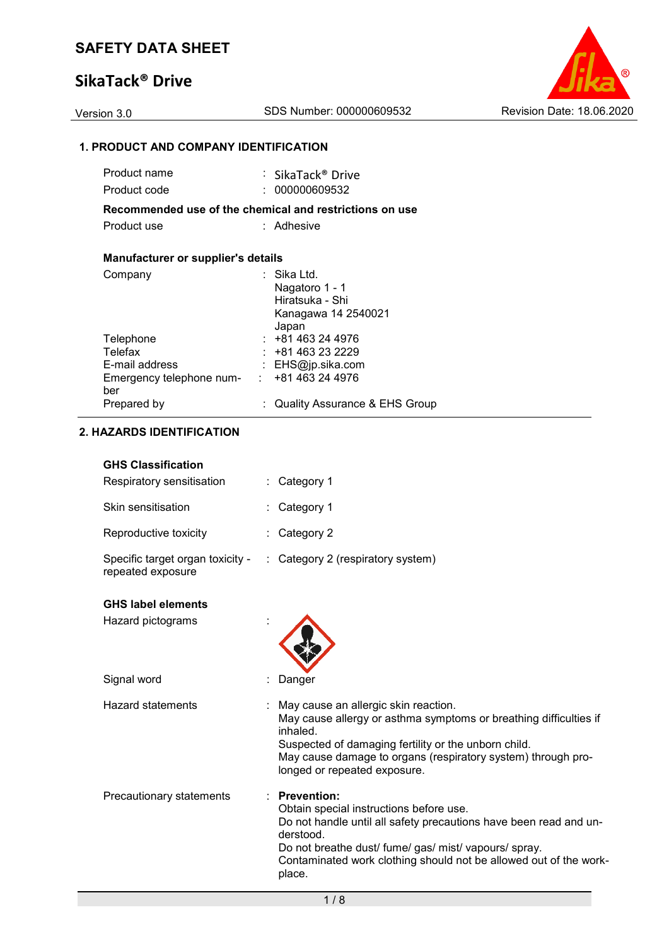# **SikaTack® Drive**



### **1. PRODUCT AND COMPANY IDENTIFICATION**

| Product name                                            | : SikaTack® Drive               |
|---------------------------------------------------------|---------------------------------|
| Product code                                            | : 000000609532                  |
| Recommended use of the chemical and restrictions on use |                                 |
| Product use                                             | : Adhesive                      |
|                                                         |                                 |
| <b>Manufacturer or supplier's details</b>               |                                 |
| Company                                                 | ∶ Sika Ltd.                     |
|                                                         | Nagatoro 1 - 1                  |
|                                                         | Hiratsuka - Shi                 |
|                                                         | Kanagawa 14 2540021             |
|                                                         | Japan                           |
| Telephone                                               | $: +81463244976$                |
| Telefax                                                 | $: +81463232229$                |
| E-mail address                                          | : EHS@jp.sika.com               |
| Emergency telephone num- :                              | +81 463 24 4976                 |
| ber                                                     |                                 |
| Prepared by                                             | : Quality Assurance & EHS Group |

### **2. HAZARDS IDENTIFICATION**

| <b>GHS Classification</b> |  |
|---------------------------|--|
|---------------------------|--|

| Respiratory sensitisation                             | : Category 1                                                                                                                                                                                                                                                                  |
|-------------------------------------------------------|-------------------------------------------------------------------------------------------------------------------------------------------------------------------------------------------------------------------------------------------------------------------------------|
| Skin sensitisation                                    | : Category 1                                                                                                                                                                                                                                                                  |
| Reproductive toxicity                                 | : Category 2                                                                                                                                                                                                                                                                  |
| Specific target organ toxicity -<br>repeated exposure | : Category 2 (respiratory system)                                                                                                                                                                                                                                             |
| <b>GHS label elements</b>                             |                                                                                                                                                                                                                                                                               |
| Hazard pictograms                                     |                                                                                                                                                                                                                                                                               |
| Signal word                                           | Danger                                                                                                                                                                                                                                                                        |
| <b>Hazard statements</b>                              | May cause an allergic skin reaction.<br>May cause allergy or asthma symptoms or breathing difficulties if<br>inhaled.<br>Suspected of damaging fertility or the unborn child.<br>May cause damage to organs (respiratory system) through pro-<br>longed or repeated exposure. |
| Precautionary statements                              | : Prevention:<br>Obtain special instructions before use.<br>Do not handle until all safety precautions have been read and un-<br>derstood.                                                                                                                                    |

place.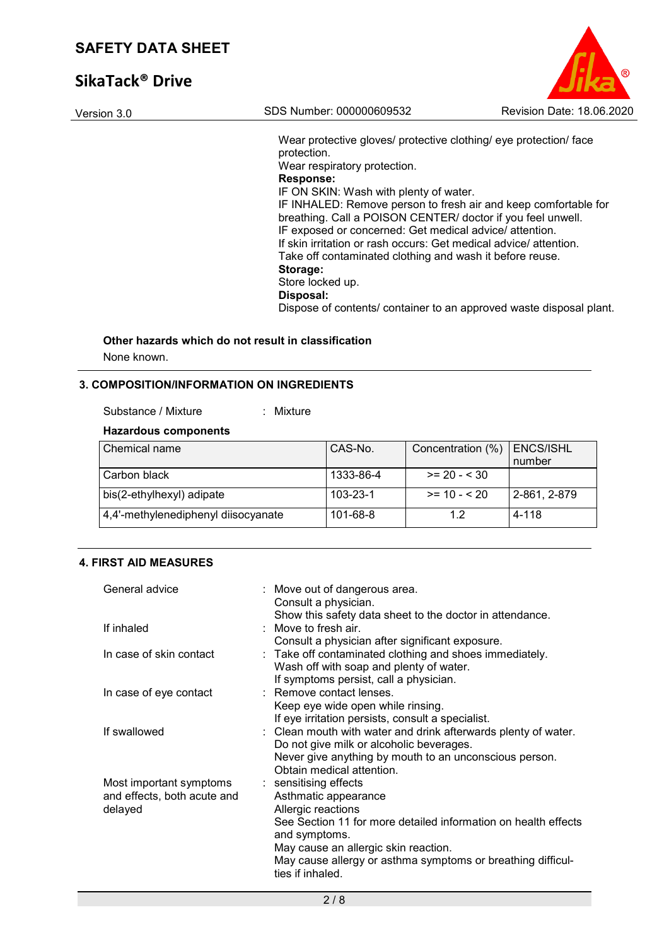# **SikaTack® Drive**

| Version 3.0 | SDS Number: 000000609532                                                                                                                                                                                                                                                                                                                                                                                                                                                                                                                                                                                                        | Revision Date: 18.06.2020 |
|-------------|---------------------------------------------------------------------------------------------------------------------------------------------------------------------------------------------------------------------------------------------------------------------------------------------------------------------------------------------------------------------------------------------------------------------------------------------------------------------------------------------------------------------------------------------------------------------------------------------------------------------------------|---------------------------|
|             | Wear protective gloves/ protective clothing/ eye protection/ face<br>protection.<br>Wear respiratory protection.<br><b>Response:</b><br>IF ON SKIN: Wash with plenty of water.<br>IF INHALED: Remove person to fresh air and keep comfortable for<br>breathing. Call a POISON CENTER/ doctor if you feel unwell.<br>IF exposed or concerned: Get medical advice/ attention.<br>If skin irritation or rash occurs: Get medical advice/attention.<br>Take off contaminated clothing and wash it before reuse.<br>Storage:<br>Store locked up.<br>Disposal:<br>Dispose of contents/ container to an approved waste disposal plant. |                           |

 $^{\circ}$ 

# **Other hazards which do not result in classification**

None known.

### **3. COMPOSITION/INFORMATION ON INGREDIENTS**

### **Hazardous components**

| l Chemical name                     | CAS-No.        | Concentration (%) | ENCS/ISHL<br>number |
|-------------------------------------|----------------|-------------------|---------------------|
| Carbon black                        | 1333-86-4      | $>= 20 - 30$      |                     |
| bis(2-ethylhexyl) adipate           | $103 - 23 - 1$ | $>= 10 - 520$     | 2-861, 2-879        |
| 4,4'-methylenediphenyl diisocyanate | 101-68-8       | 1.2               | 4-118               |

### **4. FIRST AID MEASURES**

| General advice              | : Move out of dangerous area.<br>Consult a physician.                                                      |
|-----------------------------|------------------------------------------------------------------------------------------------------------|
|                             | Show this safety data sheet to the doctor in attendance.                                                   |
| If inhaled                  | : Move to fresh air.                                                                                       |
|                             | Consult a physician after significant exposure.                                                            |
| In case of skin contact     | : Take off contaminated clothing and shoes immediately.                                                    |
|                             | Wash off with soap and plenty of water.                                                                    |
|                             | If symptoms persist, call a physician.                                                                     |
| In case of eye contact      | : Remove contact lenses.                                                                                   |
|                             | Keep eye wide open while rinsing.                                                                          |
|                             | If eye irritation persists, consult a specialist.                                                          |
| If swallowed                | : Clean mouth with water and drink afterwards plenty of water.<br>Do not give milk or alcoholic beverages. |
|                             | Never give anything by mouth to an unconscious person.<br>Obtain medical attention.                        |
| Most important symptoms     | : sensitising effects                                                                                      |
| and effects, both acute and | Asthmatic appearance                                                                                       |
| delayed                     | Allergic reactions                                                                                         |
|                             | See Section 11 for more detailed information on health effects<br>and symptoms.                            |
|                             | May cause an allergic skin reaction.                                                                       |
|                             | May cause allergy or asthma symptoms or breathing difficul-<br>ties if inhaled.                            |
|                             |                                                                                                            |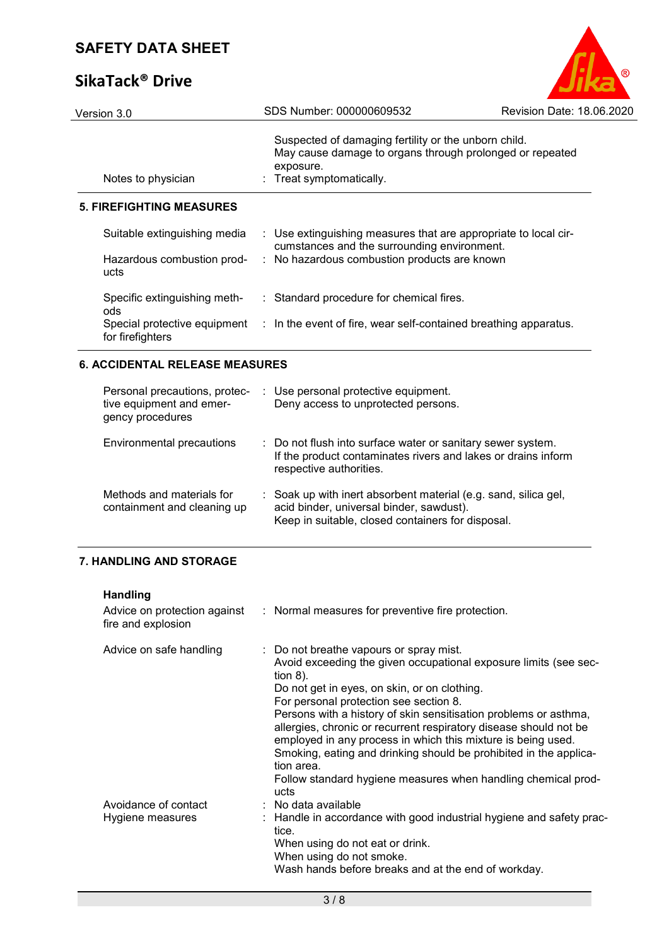# **SikaTack® Drive**

|                           | .R |
|---------------------------|----|
| Revision Date: 18.06.2020 |    |

| Version 3.0                                      | SDS Number: 000000609532                                                                                                                                  | Revision Date: 18.06.2020 |
|--------------------------------------------------|-----------------------------------------------------------------------------------------------------------------------------------------------------------|---------------------------|
| Notes to physician                               | Suspected of damaging fertility or the unborn child.<br>May cause damage to organs through prolonged or repeated<br>exposure.<br>: Treat symptomatically. |                           |
| <b>5. FIREFIGHTING MEASURES</b>                  |                                                                                                                                                           |                           |
| Suitable extinguishing media                     | : Use extinguishing measures that are appropriate to local cir-<br>cumstances and the surrounding environment.                                            |                           |
| Hazardous combustion prod-<br>ucts               | : No hazardous combustion products are known                                                                                                              |                           |
| Specific extinguishing meth-<br>ods              | : Standard procedure for chemical fires.                                                                                                                  |                           |
| Special protective equipment<br>for firefighters | : In the event of fire, wear self-contained breathing apparatus.                                                                                          |                           |
|                                                  |                                                                                                                                                           |                           |

### **6. ACCIDENTAL RELEASE MEASURES**

| Personal precautions, protec-<br>tive equipment and emer-<br>gency procedures | : Use personal protective equipment.<br>Deny access to unprotected persons.                                                                                      |
|-------------------------------------------------------------------------------|------------------------------------------------------------------------------------------------------------------------------------------------------------------|
| Environmental precautions                                                     | : Do not flush into surface water or sanitary sewer system.<br>If the product contaminates rivers and lakes or drains inform<br>respective authorities.          |
| Methods and materials for<br>containment and cleaning up                      | : Soak up with inert absorbent material (e.g. sand, silica gel,<br>acid binder, universal binder, sawdust).<br>Keep in suitable, closed containers for disposal. |

### **7. HANDLING AND STORAGE**

| <b>Handling</b><br>Advice on protection against<br>fire and explosion | : Normal measures for preventive fire protection.                                                                                                                                                                                                                                                                                                                                                                                                                                                                                                                                         |
|-----------------------------------------------------------------------|-------------------------------------------------------------------------------------------------------------------------------------------------------------------------------------------------------------------------------------------------------------------------------------------------------------------------------------------------------------------------------------------------------------------------------------------------------------------------------------------------------------------------------------------------------------------------------------------|
| Advice on safe handling                                               | : Do not breathe vapours or spray mist.<br>Avoid exceeding the given occupational exposure limits (see sec-<br>tion $8$ ).<br>Do not get in eyes, on skin, or on clothing.<br>For personal protection see section 8.<br>Persons with a history of skin sensitisation problems or asthma,<br>allergies, chronic or recurrent respiratory disease should not be<br>employed in any process in which this mixture is being used.<br>Smoking, eating and drinking should be prohibited in the applica-<br>tion area.<br>Follow standard hygiene measures when handling chemical prod-<br>ucts |
| Avoidance of contact<br>Hygiene measures                              | $\therefore$ No data available<br>: Handle in accordance with good industrial hygiene and safety prac-<br>tice.<br>When using do not eat or drink.<br>When using do not smoke.<br>Wash hands before breaks and at the end of workday.                                                                                                                                                                                                                                                                                                                                                     |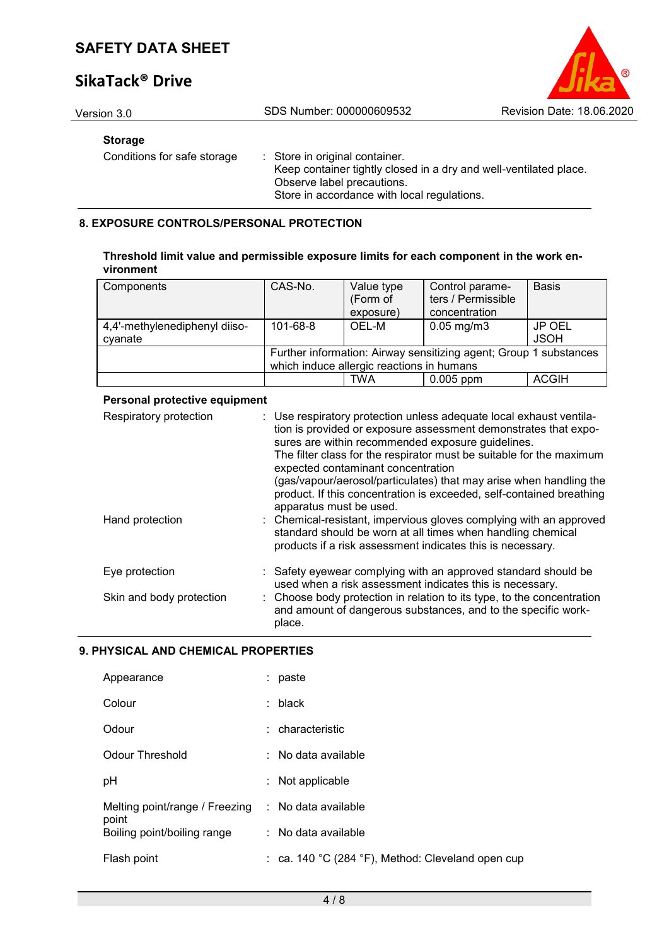# **SikaTack® Drive**



Version 3.0 SDS Number: 000000609532 Revision Date: 18.06.2020

### **Storage**

Conditions for safe storage : Store in original container. Keep container tightly closed in a dry and well-ventilated place. Observe label precautions. Store in accordance with local regulations.

### **8. EXPOSURE CONTROLS/PERSONAL PROTECTION**

| Threshold limit value and permissible exposure limits for each component in the work en- |  |
|------------------------------------------------------------------------------------------|--|
| vironment                                                                                |  |

| Components                    | CAS-No.                                                           | Value type<br>(Form of<br>exposure) | Control parame-<br>ters / Permissible<br>concentration | <b>Basis</b> |
|-------------------------------|-------------------------------------------------------------------|-------------------------------------|--------------------------------------------------------|--------------|
|                               |                                                                   |                                     |                                                        |              |
| 4,4'-methylenediphenyl diiso- | 101-68-8                                                          | OEL-M                               | $0.05$ mg/m $3$                                        | JP OEL       |
| cvanate                       |                                                                   |                                     |                                                        | <b>JSOH</b>  |
|                               | Further information: Airway sensitizing agent; Group 1 substances |                                     |                                                        |              |
|                               | which induce allergic reactions in humans                         |                                     |                                                        |              |
|                               |                                                                   | <b>TWA</b>                          | $0.005$ ppm                                            | <b>ACGIH</b> |

### **Personal protective equipment**

| Respiratory protection   | : Use respiratory protection unless adequate local exhaust ventila-<br>tion is provided or exposure assessment demonstrates that expo-<br>sures are within recommended exposure guidelines.<br>The filter class for the respirator must be suitable for the maximum<br>expected contaminant concentration<br>(gas/vapour/aerosol/particulates) that may arise when handling the<br>product. If this concentration is exceeded, self-contained breathing<br>apparatus must be used. |
|--------------------------|------------------------------------------------------------------------------------------------------------------------------------------------------------------------------------------------------------------------------------------------------------------------------------------------------------------------------------------------------------------------------------------------------------------------------------------------------------------------------------|
| Hand protection          | : Chemical-resistant, impervious gloves complying with an approved<br>standard should be worn at all times when handling chemical<br>products if a risk assessment indicates this is necessary.                                                                                                                                                                                                                                                                                    |
| Eye protection           | : Safety eyewear complying with an approved standard should be<br>used when a risk assessment indicates this is necessary.                                                                                                                                                                                                                                                                                                                                                         |
| Skin and body protection | : Choose body protection in relation to its type, to the concentration<br>and amount of dangerous substances, and to the specific work-<br>place.                                                                                                                                                                                                                                                                                                                                  |

### **9. PHYSICAL AND CHEMICAL PROPERTIES**

| Appearance                              | paste                                             |
|-----------------------------------------|---------------------------------------------------|
| Colour                                  | $:$ black                                         |
| Odour                                   | : characteristic                                  |
| Odour Threshold                         | $:$ No data available                             |
| рH                                      | Not applicable<br>t.                              |
| Melting point/range / Freezing<br>point | : No data available                               |
| Boiling point/boiling range             | $:$ No data available                             |
| Flash point                             | : ca. 140 °C (284 °F), Method: Cleveland open cup |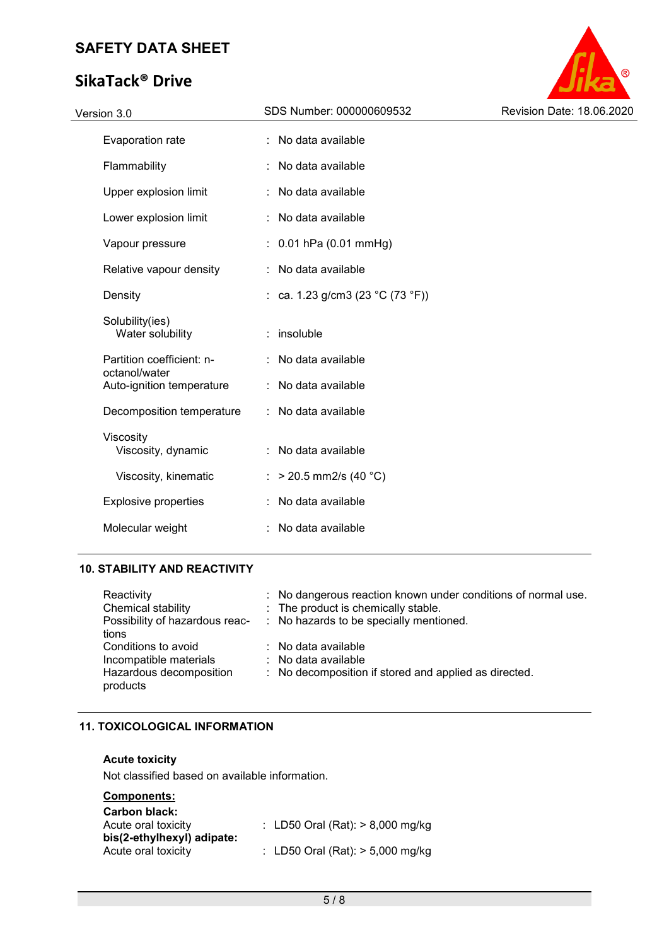# **SikaTack® Drive**



| Version 3.0                                | SDS Number: 000000609532         | Revision Date: 18.06.2020 |
|--------------------------------------------|----------------------------------|---------------------------|
| Evaporation rate                           | : No data available              |                           |
| Flammability                               | No data available<br>÷           |                           |
| Upper explosion limit                      | No data available                |                           |
| Lower explosion limit                      | No data available                |                           |
| Vapour pressure                            | $: 0.01$ hPa (0.01 mmHg)         |                           |
| Relative vapour density                    | : No data available              |                           |
| Density                                    | : ca. 1.23 g/cm3 (23 °C (73 °F)) |                           |
| Solubility(ies)<br>Water solubility        | : insoluble                      |                           |
| Partition coefficient: n-                  | No data available                |                           |
| octanol/water<br>Auto-ignition temperature | No data available                |                           |
| Decomposition temperature                  | : No data available              |                           |
| Viscosity<br>Viscosity, dynamic            | : No data available              |                           |
| Viscosity, kinematic                       | : > 20.5 mm2/s (40 °C)           |                           |
| <b>Explosive properties</b>                | No data available                |                           |
| Molecular weight                           | No data available                |                           |
|                                            |                                  |                           |

### **10. STABILITY AND REACTIVITY**

| Reactivity<br>Chemical stability<br>Possibility of hazardous reac-<br>tions          | : No dangerous reaction known under conditions of normal use.<br>: The product is chemically stable.<br>: No hazards to be specially mentioned. |
|--------------------------------------------------------------------------------------|-------------------------------------------------------------------------------------------------------------------------------------------------|
| Conditions to avoid<br>Incompatible materials<br>Hazardous decomposition<br>products | $\therefore$ No data available<br>$\therefore$ No data available<br>: No decomposition if stored and applied as directed.                       |

### **11. TOXICOLOGICAL INFORMATION**

### **Acute toxicity**

Not classified based on available information.

### **Components:**

| <b>Carbon black:</b><br>Acute oral toxicity | : LD50 Oral (Rat): $> 8,000$ mg/kg |
|---------------------------------------------|------------------------------------|
| bis(2-ethylhexyl) adipate:                  |                                    |
| Acute oral toxicity                         | : LD50 Oral (Rat): $> 5,000$ mg/kg |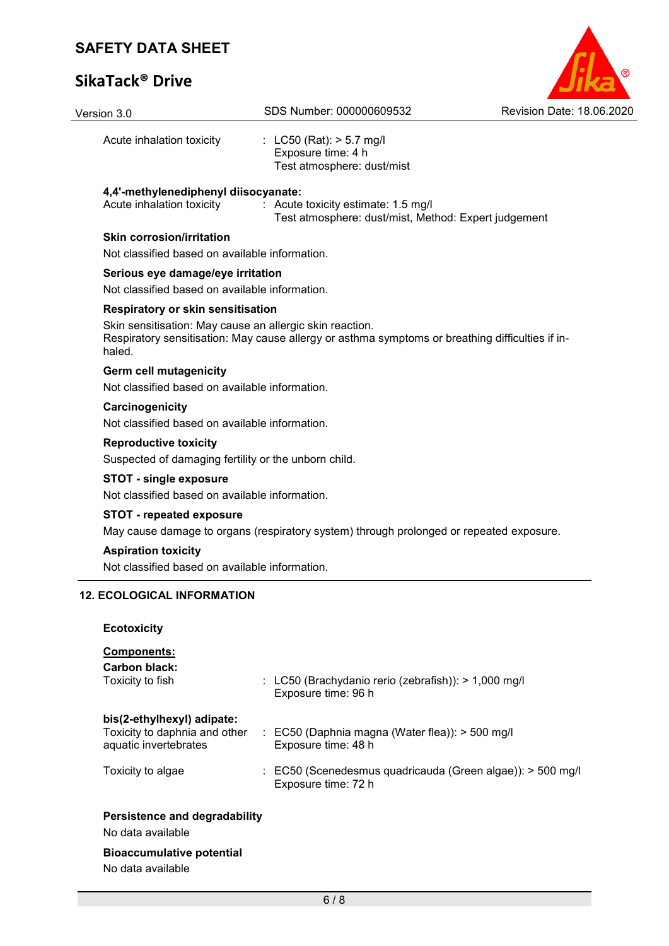# **SikaTack® Drive**

| Version 3.0                                                                          | SDS Number: 000000609532                                                                         | Revision Date: 18.06.2020 |  |  |  |
|--------------------------------------------------------------------------------------|--------------------------------------------------------------------------------------------------|---------------------------|--|--|--|
| Acute inhalation toxicity                                                            | : LC50 (Rat): $> 5.7$ mg/l<br>Exposure time: 4 h<br>Test atmosphere: dust/mist                   |                           |  |  |  |
| 4,4'-methylenediphenyl diisocyanate:<br>Acute inhalation toxicity                    | : Acute toxicity estimate: 1.5 mg/l<br>Test atmosphere: dust/mist, Method: Expert judgement      |                           |  |  |  |
| <b>Skin corrosion/irritation</b>                                                     |                                                                                                  |                           |  |  |  |
| Not classified based on available information.                                       |                                                                                                  |                           |  |  |  |
| Serious eye damage/eye irritation                                                    |                                                                                                  |                           |  |  |  |
| Not classified based on available information.                                       |                                                                                                  |                           |  |  |  |
| Respiratory or skin sensitisation                                                    |                                                                                                  |                           |  |  |  |
| Skin sensitisation: May cause an allergic skin reaction.<br>haled.                   | Respiratory sensitisation: May cause allergy or asthma symptoms or breathing difficulties if in- |                           |  |  |  |
| <b>Germ cell mutagenicity</b><br>Not classified based on available information.      |                                                                                                  |                           |  |  |  |
| Carcinogenicity                                                                      | Not classified based on available information.                                                   |                           |  |  |  |
| <b>Reproductive toxicity</b>                                                         | Suspected of damaging fertility or the unborn child.                                             |                           |  |  |  |
| <b>STOT - single exposure</b>                                                        | Not classified based on available information.                                                   |                           |  |  |  |
| <b>STOT - repeated exposure</b>                                                      | May cause damage to organs (respiratory system) through prolonged or repeated exposure.          |                           |  |  |  |
| <b>Aspiration toxicity</b>                                                           | Not classified based on available information.                                                   |                           |  |  |  |
| <b>12. ECOLOGICAL INFORMATION</b>                                                    |                                                                                                  |                           |  |  |  |
| <b>Ecotoxicity</b>                                                                   |                                                                                                  |                           |  |  |  |
| <b>Components:</b><br><b>Carbon black:</b><br>Toxicity to fish                       | : LC50 (Brachydanio rerio (zebrafish)): > 1,000 mg/l<br>Exposure time: 96 h                      |                           |  |  |  |
| bis(2-ethylhexyl) adipate:<br>Toxicity to daphnia and other<br>aquatic invertebrates | : EC50 (Daphnia magna (Water flea)): > 500 mg/l<br>Exposure time: 48 h                           |                           |  |  |  |
| Toxicity to algae                                                                    | : EC50 (Scenedesmus quadricauda (Green algae)): > 500 mg/l<br>Exposure time: 72 h                |                           |  |  |  |

O

## **Persistence and degradability**

No data available

# **Bioaccumulative potential**

No data available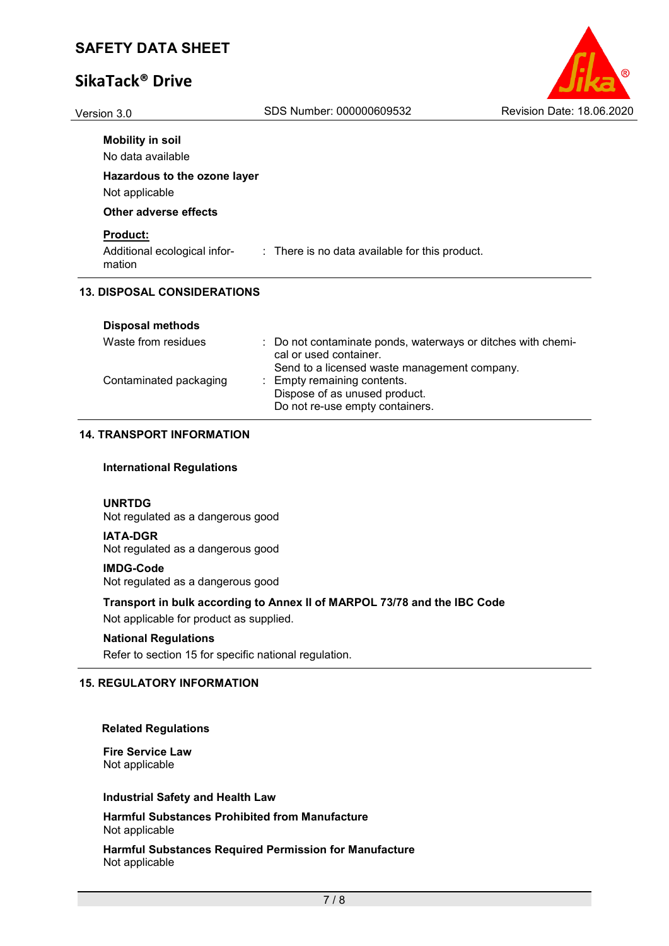# **SikaTack® Drive**

| (R)                       |
|---------------------------|
| Revision Date: 18.06.2020 |

Version 3.0 SDS Number: 000000609532

| <b>Mobility in soil</b><br>No data available              |                                                           |
|-----------------------------------------------------------|-----------------------------------------------------------|
| Hazardous to the ozone layer<br>Not applicable            |                                                           |
| Other adverse effects                                     |                                                           |
| <b>Product:</b><br>Additional ecological infor-<br>mation | $\therefore$ There is no data available for this product. |
| <b>13. DISPOSAL CONSIDERATIONS</b>                        |                                                           |

| Waste from residues    | : Do not contaminate ponds, waterways or ditches with chemi-<br>cal or used container.<br>Send to a licensed waste management company. |
|------------------------|----------------------------------------------------------------------------------------------------------------------------------------|
| Contaminated packaging | : Empty remaining contents.<br>Dispose of as unused product.<br>Do not re-use empty containers.                                        |

### **14. TRANSPORT INFORMATION**

### **International Regulations**

### **UNRTDG**

Not regulated as a dangerous good

### **IATA-DGR**

Not regulated as a dangerous good

### **IMDG-Code**

Not regulated as a dangerous good

### **Transport in bulk according to Annex II of MARPOL 73/78 and the IBC Code**

Not applicable for product as supplied.

### **National Regulations**

Refer to section 15 for specific national regulation.

### **15. REGULATORY INFORMATION**

### **Related Regulations**

**Fire Service Law** Not applicable

### **Industrial Safety and Health Law**

**Harmful Substances Prohibited from Manufacture** Not applicable

**Harmful Substances Required Permission for Manufacture** Not applicable